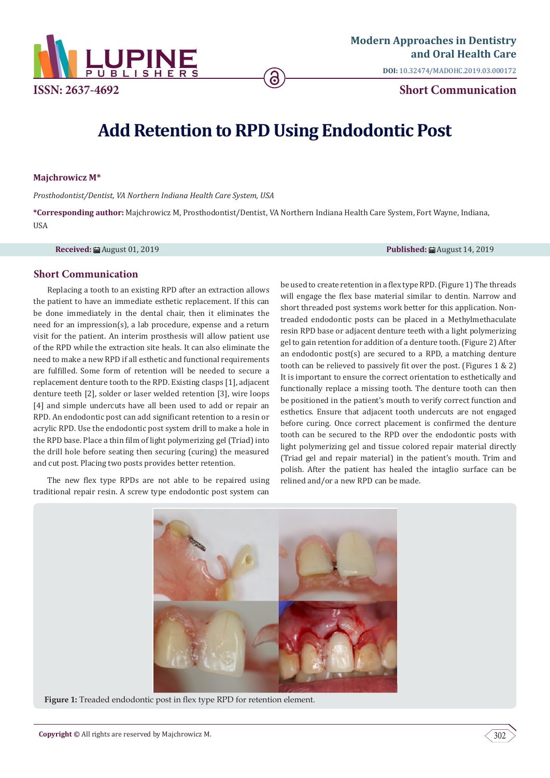

**DOI:** [10.32474/MADOHC.2019.03.000172](http://dx.doi.org/10.32474/MADOHC.2019.03.000172)

# **Add Retention to RPD Using Endodontic Post**

## **Majchrowicz M\***

*Prosthodontist/Dentist, VA Northern Indiana Health Care System, USA*

**\*Corresponding author:** Majchrowicz M, Prosthodontist/Dentist, VA Northern Indiana Health Care System, Fort Wayne, Indiana, **IISA** 

**Received:** August 01, 2019 **Published:** August 14, 2019

# **Short Communication**

Replacing a tooth to an existing RPD after an extraction allows the patient to have an immediate esthetic replacement. If this can be done immediately in the dental chair, then it eliminates the need for an impression(s), a lab procedure, expense and a return visit for the patient. An interim prosthesis will allow patient use of the RPD while the extraction site heals. It can also eliminate the need to make a new RPD if all esthetic and functional requirements are fulfilled. Some form of retention will be needed to secure a replacement denture tooth to the RPD. Existing clasps [1], adjacent denture teeth [2], solder or laser welded retention [3], wire loops [4] and simple undercuts have all been used to add or repair an RPD. An endodontic post can add significant retention to a resin or acrylic RPD. Use the endodontic post system drill to make a hole in the RPD base. Place a thin film of light polymerizing gel (Triad) into the drill hole before seating then securing (curing) the measured and cut post. Placing two posts provides better retention.

The new flex type RPDs are not able to be repaired using traditional repair resin. A screw type endodontic post system can

be used to create retention in a flex type RPD. (Figure 1) The threads will engage the flex base material similar to dentin. Narrow and short threaded post systems work better for this application. Nontreaded endodontic posts can be placed in a Methylmethaculate resin RPD base or adjacent denture teeth with a light polymerizing gel to gain retention for addition of a denture tooth. (Figure 2) After an endodontic post(s) are secured to a RPD, a matching denture tooth can be relieved to passively fit over the post. (Figures 1 & 2) It is important to ensure the correct orientation to esthetically and functionally replace a missing tooth. The denture tooth can then be positioned in the patient's mouth to verify correct function and esthetics. Ensure that adjacent tooth undercuts are not engaged before curing. Once correct placement is confirmed the denture tooth can be secured to the RPD over the endodontic posts with light polymerizing gel and tissue colored repair material directly (Triad gel and repair material) in the patient's mouth. Trim and polish. After the patient has healed the intaglio surface can be relined and/or a new RPD can be made.



Figure 1: Treaded endodontic post in flex type RPD for retention element.